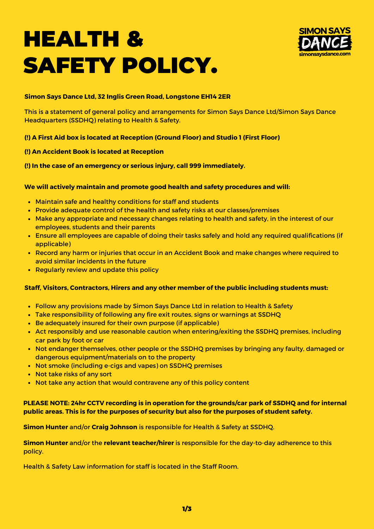# HEALTH & SAFETY POLICY.



#### **Simon Says Dance Ltd, 32 Inglis Green Road, Longstone EH14 2ER**

This is a statement of general policy and arrangements for Simon Says Dance Ltd/Simon Says Dance Headquarters (SSDHQ) relating to Health & Safety.

### **(!) A First Aid box is located at Reception (Ground Floor) and Studio 1 (First Floor)**

### **(!) An Accident Book is located at Reception**

### **(!) In the case of an emergency or serious injury, call 999 immediately.**

### **We will actively maintain and promote good health and safety procedures and will:**

- Maintain safe and healthy conditions for staff and students
- Provide adequate control of the health and safety risks at our classes/premises
- Make any appropriate and necessary changes relating to health and safety, in the interest of our employees, students and their parents
- Ensure all employees are capable of doing their tasks safely and hold any required qualifications (if applicable)
- Record any harm or injuries that occur in an Accident Book and make changes where required to avoid similar incidents in the future
- Regularly review and update this policy

#### **Staff, Visitors, Contractors, Hirers and any other member of the public including students must:**

- Follow any provisions made by Simon Says Dance Ltd in relation to Health & Safety
- Take responsibility of following any fire exit routes, signs or warnings at SSDHQ
- Be adequately insured for their own purpose (if applicable)
- Act responsibly and use reasonable caution when entering/exiting the SSDHQ premises, including car park by foot or car
- Not endanger themselves, other people or the SSDHQ premises by bringing any faulty, damaged or dangerous equipment/materials on to the property
- Not smoke (including e-cigs and vapes) on SSDHQ premises
- Not take risks of any sort
- Not take any action that would contravene any of this policy content

## **PLEASE NOTE: 24hr CCTV recording is in operation for the grounds/car park of SSDHQ and for internal public areas. This is for the purposes of security but also for the purposes of student safety.**

**Simon Hunter** and/or **Craig Johnson** is responsible for Health & Safety at SSDHQ.

**Simon Hunter** and/or the **relevant teacher/hirer** is responsible for the day-to-day adherence to this policy.

Health & Safety Law information for staff is located in the Staff Room.